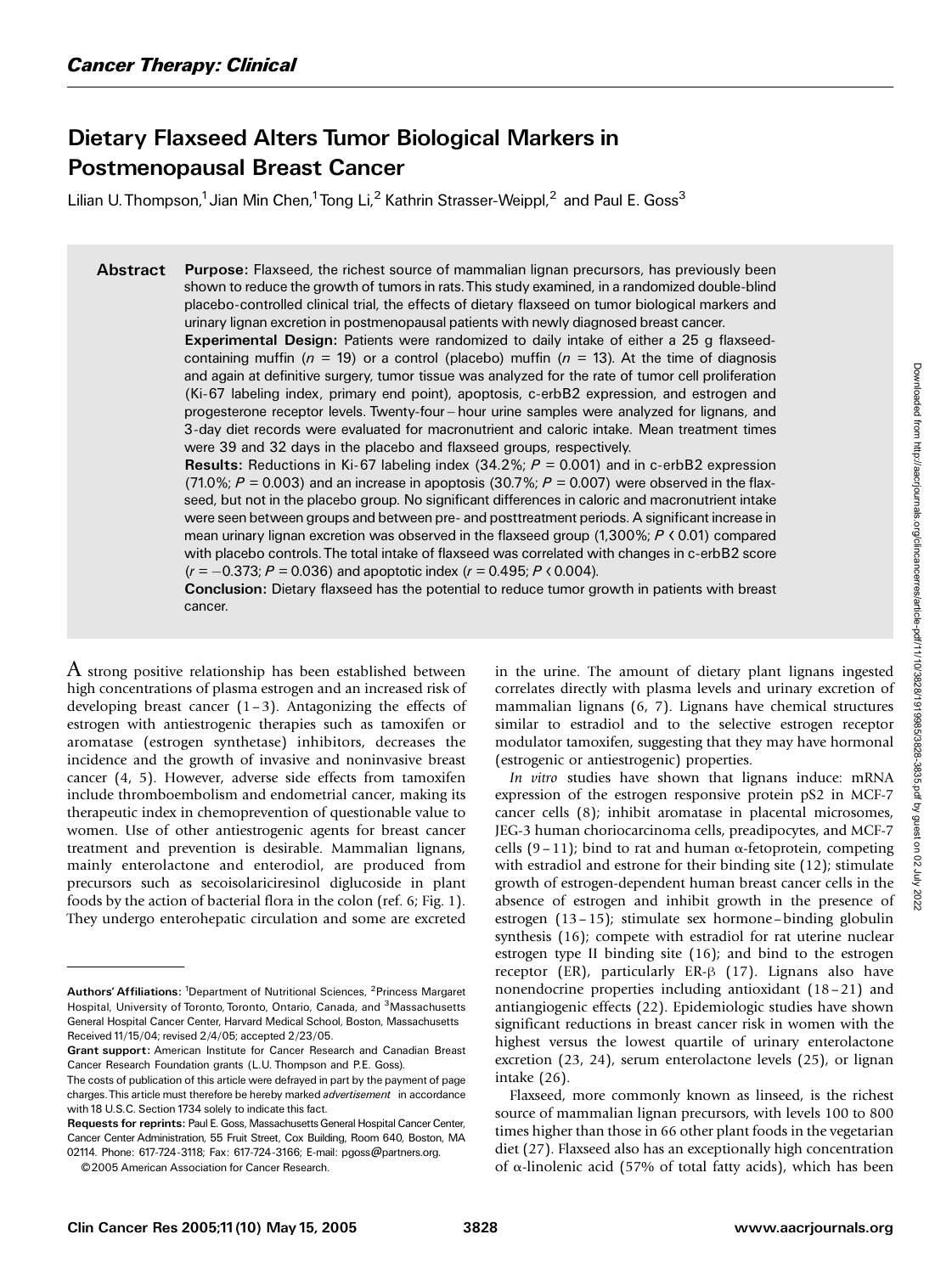# Dietary Flaxseed Alters Tumor Biological Markers in Postmenopausal Breast Cancer

Lilian U. Thompson,<sup>1</sup> Jian Min Chen,<sup>1</sup> Tong Li,<sup>2</sup> Kathrin Strasser-Weippl,<sup>2</sup> and Paul E. Goss<sup>3</sup>

Abstract Purpose: Flaxseed, the richest source of mammalian lignan precursors, has previously been shown to reduce the growth of tumors in rats.This study examined, in a randomized double-blind placebo-controlled clinical trial, the effects of dietary flaxseed on tumor biological markers and urinary lignan excretion in postmenopausal patients with newly diagnosed breast cancer.

> Experimental Design: Patients were randomized to daily intake of either a 25 g flaxseedcontaining muffin ( $n = 19$ ) or a control (placebo) muffin ( $n = 13$ ). At the time of diagnosis and again at definitive surgery, tumor tissue was analyzed for the rate of tumor cell proliferation (Ki-67 labeling index, primary end point), apoptosis, c-erbB2 expression, and estrogen and progesterone receptor levels. Twenty-four - hour urine samples were analyzed for lignans, and 3-day diet records were evaluated for macronutrient and caloric intake. Mean treatment times were 39 and 32 days in the placebo and flaxseed groups, respectively.

> **Results:** Reductions in Ki-67 labeling index (34.2%;  $P = 0.001$ ) and in c-erbB2 expression (71.0%;  $P = 0.003$ ) and an increase in apoptosis (30.7%;  $P = 0.007$ ) were observed in the flaxseed, but not in the placebo group. No significant differences in caloric and macronutrient intake were seen between groups and between pre- and posttreatment periods. A significant increase in mean urinary lignan excretion was observed in the flaxseed group  $(1,300\%; P \lt 0.01)$  compared with placebo controls.The total intake of flaxseed was correlated with changes in c-erbB2 score  $(r = -0.373; P = 0.036)$  and apoptotic index  $(r = 0.495; P \lt 0.004)$ .

> Conclusion: Dietary flaxseed has the potential to reduce tumor growth in patients with breast cancer.

A strong positive relationship has been established between high concentrations of plasma estrogen and an increased risk of developing breast cancer  $(1-3)$ . Antagonizing the effects of estrogen with antiestrogenic therapies such as tamoxifen or aromatase (estrogen synthetase) inhibitors, decreases the incidence and the growth of invasive and noninvasive breast cancer (4, 5). However, adverse side effects from tamoxifen include thromboembolism and endometrial cancer, making its therapeutic index in chemoprevention of questionable value to women. Use of other antiestrogenic agents for breast cancer treatment and prevention is desirable. Mammalian lignans, mainly enterolactone and enterodiol, are produced from precursors such as secoisolariciresinol diglucoside in plant foods by the action of bacterial flora in the colon (ref. 6; Fig. 1). They undergo enterohepatic circulation and some are excreted in the urine. The amount of dietary plant lignans ingested correlates directly with plasma levels and urinary excretion of mammalian lignans (6, 7). Lignans have chemical structures similar to estradiol and to the selective estrogen receptor modulator tamoxifen, suggesting that they may have hormonal (estrogenic or antiestrogenic) properties.

In vitro studies have shown that lignans induce: mRNA expression of the estrogen responsive protein pS2 in MCF-7 cancer cells (8); inhibit aromatase in placental microsomes, JEG-3 human choriocarcinoma cells, preadipocytes, and MCF-7 cells  $(9-11)$ ; bind to rat and human  $\alpha$ -fetoprotein, competing with estradiol and estrone for their binding site (12); stimulate growth of estrogen-dependent human breast cancer cells in the absence of estrogen and inhibit growth in the presence of estrogen (13–15); stimulate sex hormone–binding globulin synthesis (16); compete with estradiol for rat uterine nuclear estrogen type II binding site (16); and bind to the estrogen receptor (ER), particularly ER- $\beta$  (17). Lignans also have nonendocrine properties including antioxidant (18–21) and antiangiogenic effects (22). Epidemiologic studies have shown significant reductions in breast cancer risk in women with the highest versus the lowest quartile of urinary enterolactone excretion (23, 24), serum enterolactone levels (25), or lignan intake (26).

Flaxseed, more commonly known as linseed, is the richest source of mammalian lignan precursors, with levels 100 to 800 times higher than those in 66 other plant foods in the vegetarian diet (27). Flaxseed also has an exceptionally high concentration of  $\alpha$ -linolenic acid (57% of total fatty acids), which has been

Authors' Affiliations: <sup>1</sup>Department of Nutritional Sciences, <sup>2</sup>Princess Margaret Hospital, University of Toronto, Toronto, Ontario, Canada, and <sup>3</sup>Massachusetts General Hospital Cancer Center, Harvard Medical School, Boston, Massachusetts Received 11/15/04; revised 2/4/05; accepted 2/23/05.

Grant support: American Institute for Cancer Research and Canadian Breast Cancer Research Foundation grants (L.U. Thompson and P.E. Goss).

The costs of publication of this article were defrayed in part by the payment of page charges. This article must therefore be hereby marked advertisement in accordance with 18 U.S.C. Section 1734 solely to indicate this fact.

Requests for reprints: Paul E. Goss, Massachusetts General Hospital Cancer Center, Cancer Center Administration, 55 Fruit Street, Cox Building, Room 640, Boston, MA 02114. Phone: 617-724-3118; Fax: 617-724-3166; E-mail: pgoss@partners.org.

<sup>© 2005</sup> American Association for Cancer Research.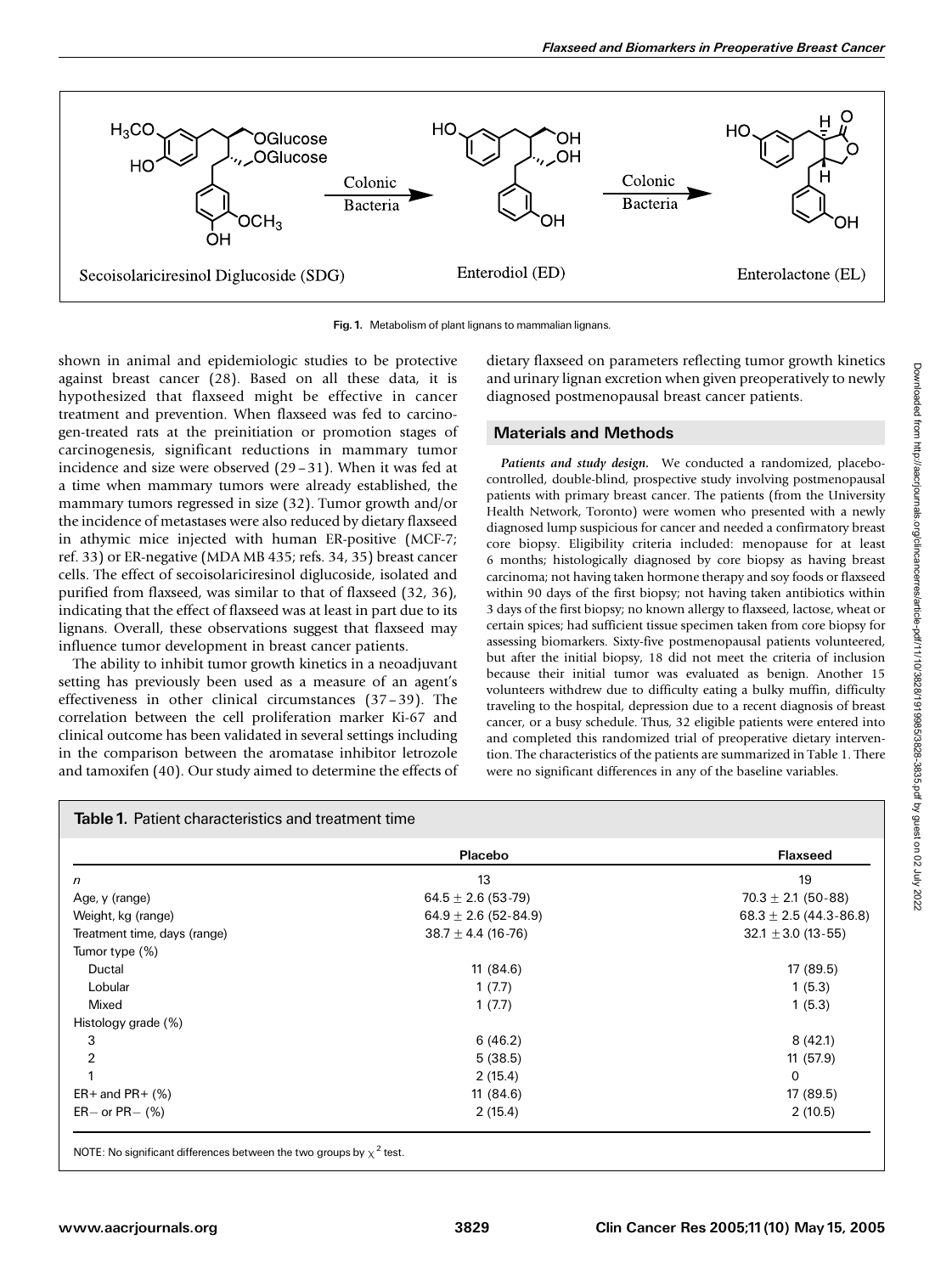

Fig.1. Metabolism of plant lignans to mammalian lignans.

shown in animal and epidemiologic studies to be protective against breast cancer (28). Based on all these data, it is hypothesized that flaxseed might be effective in cancer treatment and prevention. When flaxseed was fed to carcinogen-treated rats at the preinitiation or promotion stages of carcinogenesis, significant reductions in mammary tumor incidence and size were observed (29–31). When it was fed at a time when mammary tumors were already established, the mammary tumors regressed in size (32). Tumor growth and/or the incidence of metastases were also reduced by dietary flaxseed in athymic mice injected with human ER-positive (MCF-7; ref. 33) or ER-negative (MDA MB 435; refs. 34, 35) breast cancer cells. The effect of secoisolariciresinol diglucoside, isolated and purified from flaxseed, was similar to that of flaxseed (32, 36), indicating that the effect of flaxseed was at least in part due to its lignans. Overall, these observations suggest that flaxseed may influence tumor development in breast cancer patients.

The ability to inhibit tumor growth kinetics in a neoadjuvant setting has previously been used as a measure of an agent's effectiveness in other clinical circumstances (37–39). The correlation between the cell proliferation marker Ki-67 and clinical outcome has been validated in several settings including in the comparison between the aromatase inhibitor letrozole and tamoxifen (40). Our study aimed to determine the effects of dietary flaxseed on parameters reflecting tumor growth kinetics and urinary lignan excretion when given preoperatively to newly diagnosed postmenopausal breast cancer patients.

## Materials and Methods

Patients and study design. We conducted a randomized, placebocontrolled, double-blind, prospective study involving postmenopausal patients with primary breast cancer. The patients (from the University Health Network, Toronto) were women who presented with a newly diagnosed lump suspicious for cancer and needed a confirmatory breast core biopsy. Eligibility criteria included: menopause for at least 6 months; histologically diagnosed by core biopsy as having breast carcinoma; not having taken hormone therapy and soy foods or flaxseed within 90 days of the first biopsy; not having taken antibiotics within 3 days of the first biopsy; no known allergy to flaxseed, lactose, wheat or certain spices; had sufficient tissue specimen taken from core biopsy for assessing biomarkers. Sixty-five postmenopausal patients volunteered, but after the initial biopsy, 18 did not meet the criteria of inclusion because their initial tumor was evaluated as benign. Another 15 volunteers withdrew due to difficulty eating a bulky muffin, difficulty traveling to the hospital, depression due to a recent diagnosis of breast cancer, or a busy schedule. Thus, 32 eligible patients were entered into and completed this randomized trial of preoperative dietary intervention. The characteristics of the patients are summarized in Table 1. There were no significant differences in any of the baseline variables.

|                              | Placebo                  | <b>Flaxseed</b>              |  |  |
|------------------------------|--------------------------|------------------------------|--|--|
| $\sqrt{n}$                   | 13                       | 19                           |  |  |
| Age, y (range)               | $64.5 \pm 2.6$ (53-79)   | $70.3 \pm 2.1$ (50-88)       |  |  |
| Weight, kg (range)           | $64.9 \pm 2.6$ (52-84.9) | $68.3 \pm 2.5 (44.3 - 86.8)$ |  |  |
| Treatment time, days (range) | $38.7 \pm 4.4$ (16-76)   | $32.1 \pm 3.0$ (13-55)       |  |  |
| Tumor type (%)               |                          |                              |  |  |
| Ductal                       | 11(84.6)                 | 17 (89.5)                    |  |  |
| Lobular                      | 1(7.7)                   | 1(5.3)                       |  |  |
| Mixed                        | 1(7.7)                   | 1(5.3)                       |  |  |
| Histology grade (%)          |                          |                              |  |  |
| 3                            | 6(46.2)                  | 8(42.1)                      |  |  |
| $\overline{2}$               | 5(38.5)                  | 11(57.9)                     |  |  |
|                              | 2(15.4)                  | 0                            |  |  |
| $ER+$ and $PR+$ (%)          | 11(84.6)                 | 17 (89.5)                    |  |  |
| $ER - or PR - (\%)$          | 2(15.4)                  | 2(10.5)                      |  |  |

NOTE: No significant differences between the two groups by  $\chi^2$  test.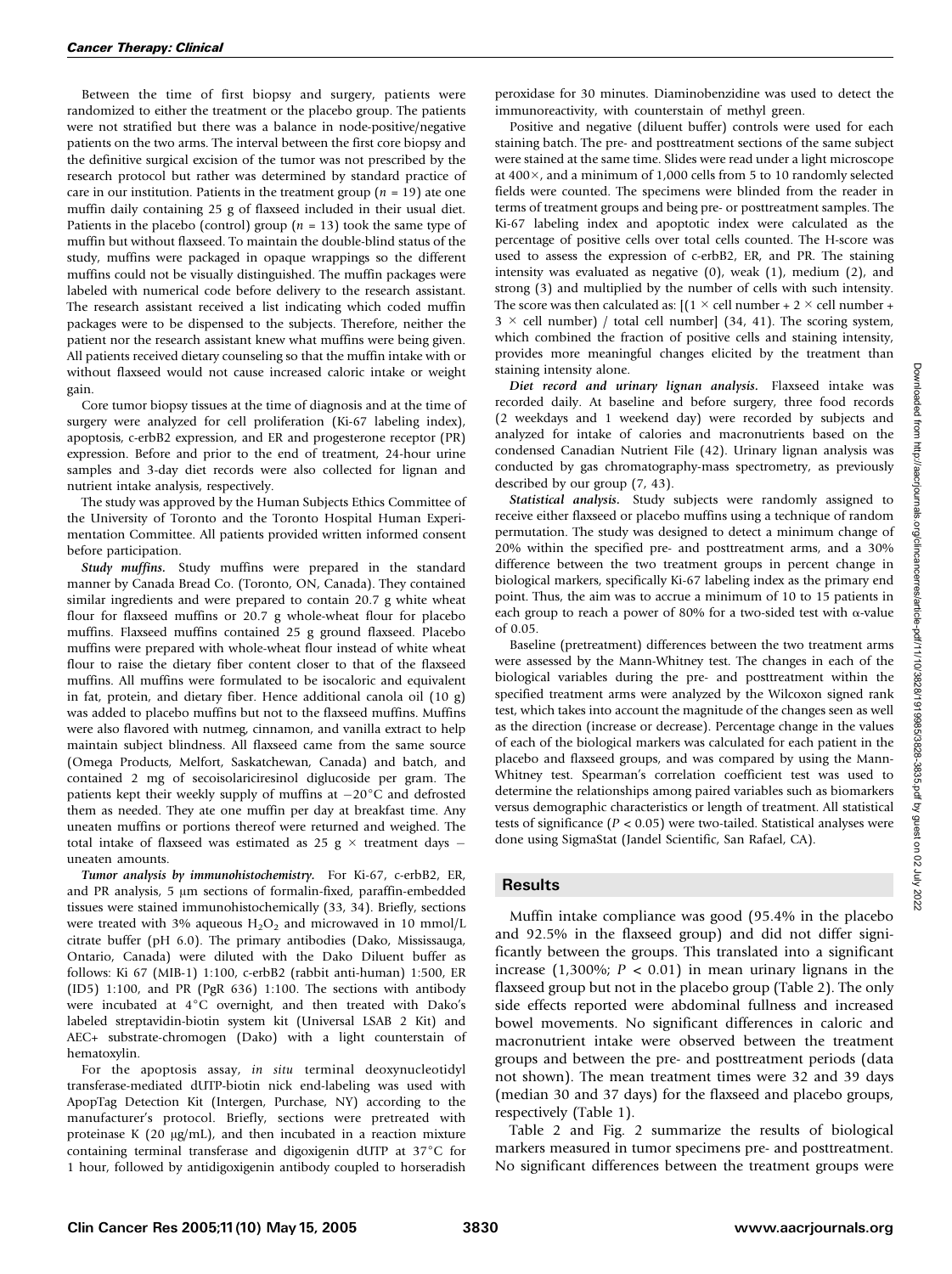Between the time of first biopsy and surgery, patients were randomized to either the treatment or the placebo group. The patients were not stratified but there was a balance in node-positive/negative patients on the two arms. The interval between the first core biopsy and the definitive surgical excision of the tumor was not prescribed by the research protocol but rather was determined by standard practice of care in our institution. Patients in the treatment group ( $n = 19$ ) ate one muffin daily containing 25 g of flaxseed included in their usual diet. Patients in the placebo (control) group ( $n = 13$ ) took the same type of muffin but without flaxseed. To maintain the double-blind status of the study, muffins were packaged in opaque wrappings so the different muffins could not be visually distinguished. The muffin packages were labeled with numerical code before delivery to the research assistant. The research assistant received a list indicating which coded muffin packages were to be dispensed to the subjects. Therefore, neither the patient nor the research assistant knew what muffins were being given. All patients received dietary counseling so that the muffin intake with or without flaxseed would not cause increased caloric intake or weight gain.

Core tumor biopsy tissues at the time of diagnosis and at the time of surgery were analyzed for cell proliferation (Ki-67 labeling index), apoptosis, c-erbB2 expression, and ER and progesterone receptor (PR) expression. Before and prior to the end of treatment, 24-hour urine samples and 3-day diet records were also collected for lignan and nutrient intake analysis, respectively.

The study was approved by the Human Subjects Ethics Committee of the University of Toronto and the Toronto Hospital Human Experimentation Committee. All patients provided written informed consent before participation.

Study muffins. Study muffins were prepared in the standard manner by Canada Bread Co. (Toronto, ON, Canada). They contained similar ingredients and were prepared to contain 20.7 g white wheat flour for flaxseed muffins or 20.7 g whole-wheat flour for placebo muffins. Flaxseed muffins contained 25 g ground flaxseed. Placebo muffins were prepared with whole-wheat flour instead of white wheat flour to raise the dietary fiber content closer to that of the flaxseed muffins. All muffins were formulated to be isocaloric and equivalent in fat, protein, and dietary fiber. Hence additional canola oil (10 g) was added to placebo muffins but not to the flaxseed muffins. Muffins were also flavored with nutmeg, cinnamon, and vanilla extract to help maintain subject blindness. All flaxseed came from the same source (Omega Products, Melfort, Saskatchewan, Canada) and batch, and contained 2 mg of secoisolariciresinol diglucoside per gram. The patients kept their weekly supply of muffins at  $-20^{\circ}$ C and defrosted them as needed. They ate one muffin per day at breakfast time. Any uneaten muffins or portions thereof were returned and weighed. The total intake of flaxseed was estimated as 25 g  $\times$  treatment days  $$ uneaten amounts.

Tumor analysis by immunohistochemistry. For Ki-67, c-erbB2, ER, and PR analysis, 5  $\mu$ m sections of formalin-fixed, paraffin-embedded tissues were stained immunohistochemically (33, 34). Briefly, sections were treated with 3% aqueous  $H_2O_2$  and microwaved in 10 mmol/L citrate buffer (pH 6.0). The primary antibodies (Dako, Mississauga, Ontario, Canada) were diluted with the Dako Diluent buffer as follows: Ki 67 (MIB-1) 1:100, c-erbB2 (rabbit anti-human) 1:500, ER (ID5) 1:100, and PR (PgR 636) 1:100. The sections with antibody were incubated at  $4^{\circ}$ C overnight, and then treated with Dako's labeled streptavidin-biotin system kit (Universal LSAB 2 Kit) and AEC+ substrate-chromogen (Dako) with a light counterstain of hematoxylin.

For the apoptosis assay, in situ terminal deoxynucleotidyl transferase-mediated dUTP-biotin nick end-labeling was used with ApopTag Detection Kit (Intergen, Purchase, NY) according to the manufacturer's protocol. Briefly, sections were pretreated with proteinase K (20  $\mu$ g/mL), and then incubated in a reaction mixture containing terminal transferase and digoxigenin dUTP at  $37^{\circ}$ C for 1 hour, followed by antidigoxigenin antibody coupled to horseradish

peroxidase for 30 minutes. Diaminobenzidine was used to detect the immunoreactivity, with counterstain of methyl green.

Positive and negative (diluent buffer) controls were used for each staining batch. The pre- and posttreatment sections of the same subject were stained at the same time. Slides were read under a light microscope at 400 $\times$ , and a minimum of 1,000 cells from 5 to 10 randomly selected fields were counted. The specimens were blinded from the reader in terms of treatment groups and being pre- or posttreatment samples. The Ki-67 labeling index and apoptotic index were calculated as the percentage of positive cells over total cells counted. The H-score was used to assess the expression of c-erbB2, ER, and PR. The staining intensity was evaluated as negative (0), weak (1), medium (2), and strong (3) and multiplied by the number of cells with such intensity. The score was then calculated as:  $[(1 \times$  cell number + 2  $\times$  cell number +  $3 \times$  cell number) / total cell number] (34, 41). The scoring system, which combined the fraction of positive cells and staining intensity, provides more meaningful changes elicited by the treatment than staining intensity alone.

Diet record and urinary lignan analysis. Flaxseed intake was recorded daily. At baseline and before surgery, three food records (2 weekdays and 1 weekend day) were recorded by subjects and analyzed for intake of calories and macronutrients based on the condensed Canadian Nutrient File (42). Urinary lignan analysis was conducted by gas chromatography-mass spectrometry, as previously described by our group (7, 43).

Statistical analysis. Study subjects were randomly assigned to receive either flaxseed or placebo muffins using a technique of random permutation. The study was designed to detect a minimum change of 20% within the specified pre- and posttreatment arms, and a 30% difference between the two treatment groups in percent change in biological markers, specifically Ki-67 labeling index as the primary end point. Thus, the aim was to accrue a minimum of 10 to 15 patients in each group to reach a power of 80% for a two-sided test with  $\alpha$ -value of 0.05.

Baseline (pretreatment) differences between the two treatment arms were assessed by the Mann-Whitney test. The changes in each of the biological variables during the pre- and posttreatment within the specified treatment arms were analyzed by the Wilcoxon signed rank test, which takes into account the magnitude of the changes seen as well as the direction (increase or decrease). Percentage change in the values of each of the biological markers was calculated for each patient in the placebo and flaxseed groups, and was compared by using the Mann-Whitney test. Spearman's correlation coefficient test was used to determine the relationships among paired variables such as biomarkers versus demographic characteristics or length of treatment. All statistical tests of significance ( $P < 0.05$ ) were two-tailed. Statistical analyses were done using SigmaStat (Jandel Scientific, San Rafael, CA).

## **Results**

Muffin intake compliance was good (95.4% in the placebo and 92.5% in the flaxseed group) and did not differ significantly between the groups. This translated into a significant increase (1,300%;  $P < 0.01$ ) in mean urinary lignans in the flaxseed group but not in the placebo group (Table 2). The only side effects reported were abdominal fullness and increased bowel movements. No significant differences in caloric and macronutrient intake were observed between the treatment groups and between the pre- and posttreatment periods (data not shown). The mean treatment times were 32 and 39 days (median 30 and 37 days) for the flaxseed and placebo groups, respectively (Table 1).

Table 2 and Fig. 2 summarize the results of biological markers measured in tumor specimens pre- and posttreatment. No significant differences between the treatment groups were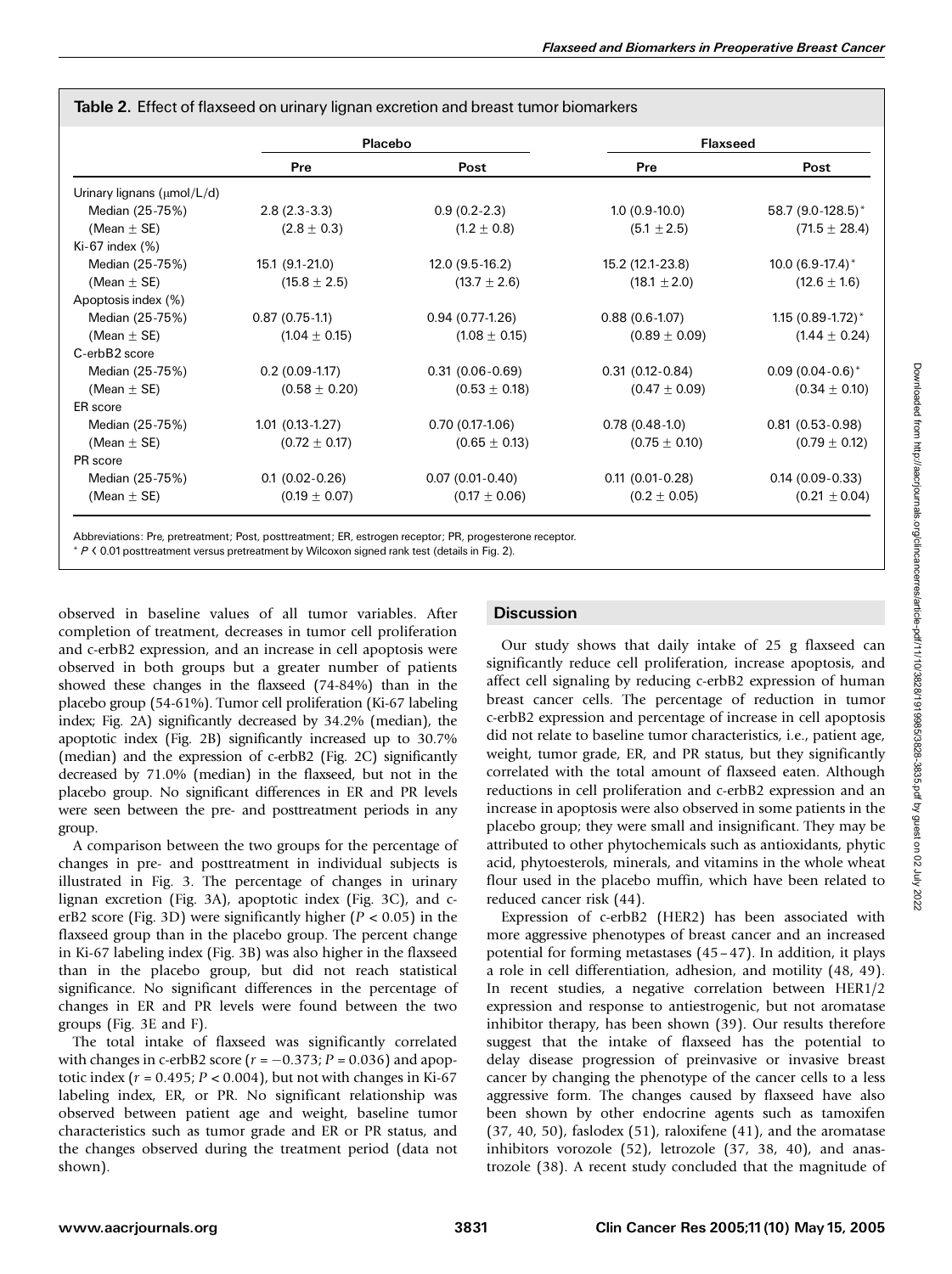|                                  | Placebo           |                   | <b>Flaxseed</b>   |                         |  |  |
|----------------------------------|-------------------|-------------------|-------------------|-------------------------|--|--|
|                                  | Pre               | Post              | Pre               | Post                    |  |  |
| Urinary lignans ( $\mu$ mol/L/d) |                   |                   |                   |                         |  |  |
| Median (25-75%)                  | $2.8(2.3-3.3)$    | $0.9(0.2-2.3)$    | $1.0(0.9-10.0)$   | 58.7 (9.0-128.5)*       |  |  |
| (Mean $\pm$ SE)                  | $(2.8 \pm 0.3)$   | $(1.2 \pm 0.8)$   | $(5.1 \pm 2.5)$   | $(71.5 \pm 28.4)$       |  |  |
| Ki-67 index (%)                  |                   |                   |                   |                         |  |  |
| Median (25-75%)                  | 15.1 (9.1-21.0)   | $12.0(9.5-16.2)$  | 15.2 (12.1-23.8)  | 10.0 $(6.9-17.4)^*$     |  |  |
| (Mean $\pm$ SE)                  | $(15.8 \pm 2.5)$  | $(13.7 \pm 2.6)$  | $(18.1 \pm 2.0)$  | $(12.6 \pm 1.6)$        |  |  |
| Apoptosis index (%)              |                   |                   |                   |                         |  |  |
| Median (25-75%)                  | $0.87(0.75-1.1)$  | $0.94(0.77-1.26)$ | $0.88(0.6-1.07)$  | $1.15(0.89 - 1.72)^{*}$ |  |  |
| (Mean $\pm$ SE)                  | $(1.04 \pm 0.15)$ | $(1.08 \pm 0.15)$ | $(0.89 \pm 0.09)$ | $(1.44 \pm 0.24)$       |  |  |
| C-erbB2 score                    |                   |                   |                   |                         |  |  |
| Median (25-75%)                  | $0.2(0.09-1.17)$  | $0.31(0.06-0.69)$ | $0.31(0.12-0.84)$ | $0.09(0.04-0.6)^{*}$    |  |  |
| (Mean $\pm$ SE)                  | $(0.58 \pm 0.20)$ | $(0.53 \pm 0.18)$ | $(0.47 \pm 0.09)$ | $(0.34 \pm 0.10)$       |  |  |
| ER score                         |                   |                   |                   |                         |  |  |
| Median (25-75%)                  | $1.01(0.13-1.27)$ | $0.70(0.17-1.06)$ | $0.78(0.48-1.0)$  | $0.81(0.53-0.98)$       |  |  |
| (Mean $\pm$ SE)                  | $(0.72 \pm 0.17)$ | $(0.65 \pm 0.13)$ | $(0.75 \pm 0.10)$ | $(0.79 \pm 0.12)$       |  |  |
| PR score                         |                   |                   |                   |                         |  |  |
| Median (25-75%)                  | $0.1(0.02-0.26)$  | $0.07(0.01-0.40)$ | $0.11(0.01-0.28)$ | $0.14(0.09-0.33)$       |  |  |
| (Mean $\pm$ SE)                  | $(0.19 \pm 0.07)$ | $(0.17 \pm 0.06)$ | $(0.2 \pm 0.05)$  | $(0.21 \pm 0.04)$       |  |  |

|  | Table 2. Effect of flaxseed on urinary lignan excretion and breast tumor biomarkers |  |  |  |  |  |  |  |  |  |
|--|-------------------------------------------------------------------------------------|--|--|--|--|--|--|--|--|--|
|--|-------------------------------------------------------------------------------------|--|--|--|--|--|--|--|--|--|

Abbreviations: Pre, pretreatment; Post, posttreatment; ER, estrogen receptor; PR, progesterone receptor.

 $*$  P  $\leq$  0.01 posttreatment versus pretreatment by Wilcoxon signed rank test (details in Fig. 2).

observed in baseline values of all tumor variables. After completion of treatment, decreases in tumor cell proliferation and c-erbB2 expression, and an increase in cell apoptosis were observed in both groups but a greater number of patients showed these changes in the flaxseed (74-84%) than in the placebo group (54-61%). Tumor cell proliferation (Ki-67 labeling index; Fig. 2A) significantly decreased by 34.2% (median), the apoptotic index (Fig. 2B) significantly increased up to 30.7% (median) and the expression of c-erbB2 (Fig. 2C) significantly decreased by 71.0% (median) in the flaxseed, but not in the placebo group. No significant differences in ER and PR levels were seen between the pre- and posttreatment periods in any group.

A comparison between the two groups for the percentage of changes in pre- and posttreatment in individual subjects is illustrated in Fig. 3. The percentage of changes in urinary lignan excretion (Fig. 3A), apoptotic index (Fig. 3C), and cerB2 score (Fig. 3D) were significantly higher ( $P < 0.05$ ) in the flaxseed group than in the placebo group. The percent change in Ki-67 labeling index (Fig. 3B) was also higher in the flaxseed than in the placebo group, but did not reach statistical significance. No significant differences in the percentage of changes in ER and PR levels were found between the two groups (Fig. 3E and F).

The total intake of flaxseed was significantly correlated with changes in c-erbB2 score  $(r = -0.373; P = 0.036)$  and apoptotic index ( $r = 0.495$ ;  $P < 0.004$ ), but not with changes in Ki-67 labeling index, ER, or PR. No significant relationship was observed between patient age and weight, baseline tumor characteristics such as tumor grade and ER or PR status, and the changes observed during the treatment period (data not shown).

## **Discussion**

Our study shows that daily intake of 25 g flaxseed can significantly reduce cell proliferation, increase apoptosis, and affect cell signaling by reducing c-erbB2 expression of human breast cancer cells. The percentage of reduction in tumor c-erbB2 expression and percentage of increase in cell apoptosis did not relate to baseline tumor characteristics, i.e., patient age, weight, tumor grade, ER, and PR status, but they significantly correlated with the total amount of flaxseed eaten. Although reductions in cell proliferation and c-erbB2 expression and an increase in apoptosis were also observed in some patients in the placebo group; they were small and insignificant. They may be attributed to other phytochemicals such as antioxidants, phytic acid, phytoesterols, minerals, and vitamins in the whole wheat flour used in the placebo muffin, which have been related to reduced cancer risk (44).

Expression of c-erbB2 (HER2) has been associated with more aggressive phenotypes of breast cancer and an increased potential for forming metastases (45–47). In addition, it plays a role in cell differentiation, adhesion, and motility (48, 49). In recent studies, a negative correlation between HER1/2 expression and response to antiestrogenic, but not aromatase inhibitor therapy, has been shown (39). Our results therefore suggest that the intake of flaxseed has the potential to delay disease progression of preinvasive or invasive breast cancer by changing the phenotype of the cancer cells to a less aggressive form. The changes caused by flaxseed have also been shown by other endocrine agents such as tamoxifen (37, 40, 50), faslodex (51), raloxifene (41), and the aromatase inhibitors vorozole (52), letrozole (37, 38, 40), and anastrozole (38). A recent study concluded that the magnitude of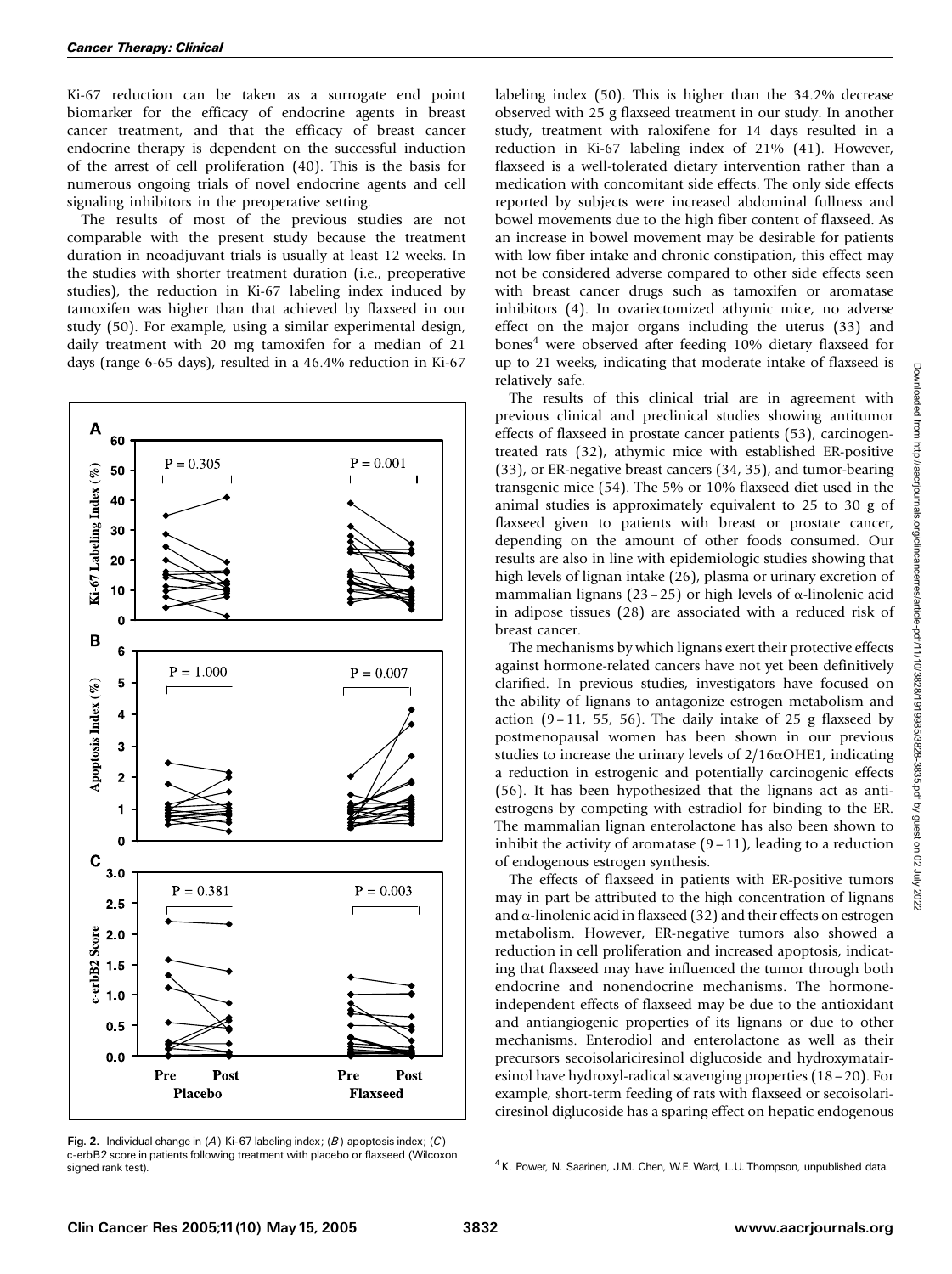Ki-67 reduction can be taken as a surrogate end point biomarker for the efficacy of endocrine agents in breast cancer treatment, and that the efficacy of breast cancer endocrine therapy is dependent on the successful induction of the arrest of cell proliferation (40). This is the basis for numerous ongoing trials of novel endocrine agents and cell signaling inhibitors in the preoperative setting.

The results of most of the previous studies are not comparable with the present study because the treatment duration in neoadjuvant trials is usually at least 12 weeks. In the studies with shorter treatment duration (i.e., preoperative studies), the reduction in Ki-67 labeling index induced by tamoxifen was higher than that achieved by flaxseed in our study (50). For example, using a similar experimental design, daily treatment with 20 mg tamoxifen for a median of 21 days (range 6-65 days), resulted in a 46.4% reduction in Ki-67



Fig. 2. Individual change in (A) Ki-67 labeling index; (B) apoptosis index; (C) c-erbB2 score in patients following treatment with placebo or flaxseed (Wilcoxon signed rank test).

labeling index (50). This is higher than the 34.2% decrease observed with 25 g flaxseed treatment in our study. In another study, treatment with raloxifene for 14 days resulted in a reduction in Ki-67 labeling index of 21% (41). However, flaxseed is a well-tolerated dietary intervention rather than a medication with concomitant side effects. The only side effects reported by subjects were increased abdominal fullness and bowel movements due to the high fiber content of flaxseed. As an increase in bowel movement may be desirable for patients with low fiber intake and chronic constipation, this effect may not be considered adverse compared to other side effects seen with breast cancer drugs such as tamoxifen or aromatase inhibitors (4). In ovariectomized athymic mice, no adverse effect on the major organs including the uterus (33) and bones<sup>4</sup> were observed after feeding 10% dietary flaxseed for up to 21 weeks, indicating that moderate intake of flaxseed is relatively safe.

The results of this clinical trial are in agreement with previous clinical and preclinical studies showing antitumor effects of flaxseed in prostate cancer patients (53), carcinogentreated rats (32), athymic mice with established ER-positive (33), or ER-negative breast cancers (34, 35), and tumor-bearing transgenic mice (54). The 5% or 10% flaxseed diet used in the animal studies is approximately equivalent to 25 to 30 g of flaxseed given to patients with breast or prostate cancer, depending on the amount of other foods consumed. Our results are also in line with epidemiologic studies showing that high levels of lignan intake (26), plasma or urinary excretion of mammalian lignans (23 – 25) or high levels of  $\alpha$ -linolenic acid in adipose tissues (28) are associated with a reduced risk of breast cancer.

The mechanisms by which lignans exert their protective effects against hormone-related cancers have not yet been definitively clarified. In previous studies, investigators have focused on the ability of lignans to antagonize estrogen metabolism and action  $(9-11, 55, 56)$ . The daily intake of 25 g flaxseed by postmenopausal women has been shown in our previous studies to increase the urinary levels of  $2/16\alpha$ OHE1, indicating a reduction in estrogenic and potentially carcinogenic effects (56). It has been hypothesized that the lignans act as antiestrogens by competing with estradiol for binding to the ER. The mammalian lignan enterolactone has also been shown to inhibit the activity of aromatase  $(9-11)$ , leading to a reduction of endogenous estrogen synthesis.

The effects of flaxseed in patients with ER-positive tumors may in part be attributed to the high concentration of lignans and  $\alpha$ -linolenic acid in flaxseed (32) and their effects on estrogen metabolism. However, ER-negative tumors also showed a reduction in cell proliferation and increased apoptosis, indicating that flaxseed may have influenced the tumor through both endocrine and nonendocrine mechanisms. The hormoneindependent effects of flaxseed may be due to the antioxidant and antiangiogenic properties of its lignans or due to other mechanisms. Enterodiol and enterolactone as well as their precursors secoisolariciresinol diglucoside and hydroxymatairesinol have hydroxyl-radical scavenging properties (18–20). For example, short-term feeding of rats with flaxseed or secoisolariciresinol diglucoside has a sparing effect on hepatic endogenous

<sup>&</sup>lt;sup>4</sup> K. Power, N. Saarinen, J.M. Chen, W.E. Ward, L.U. Thompson, unpublished data.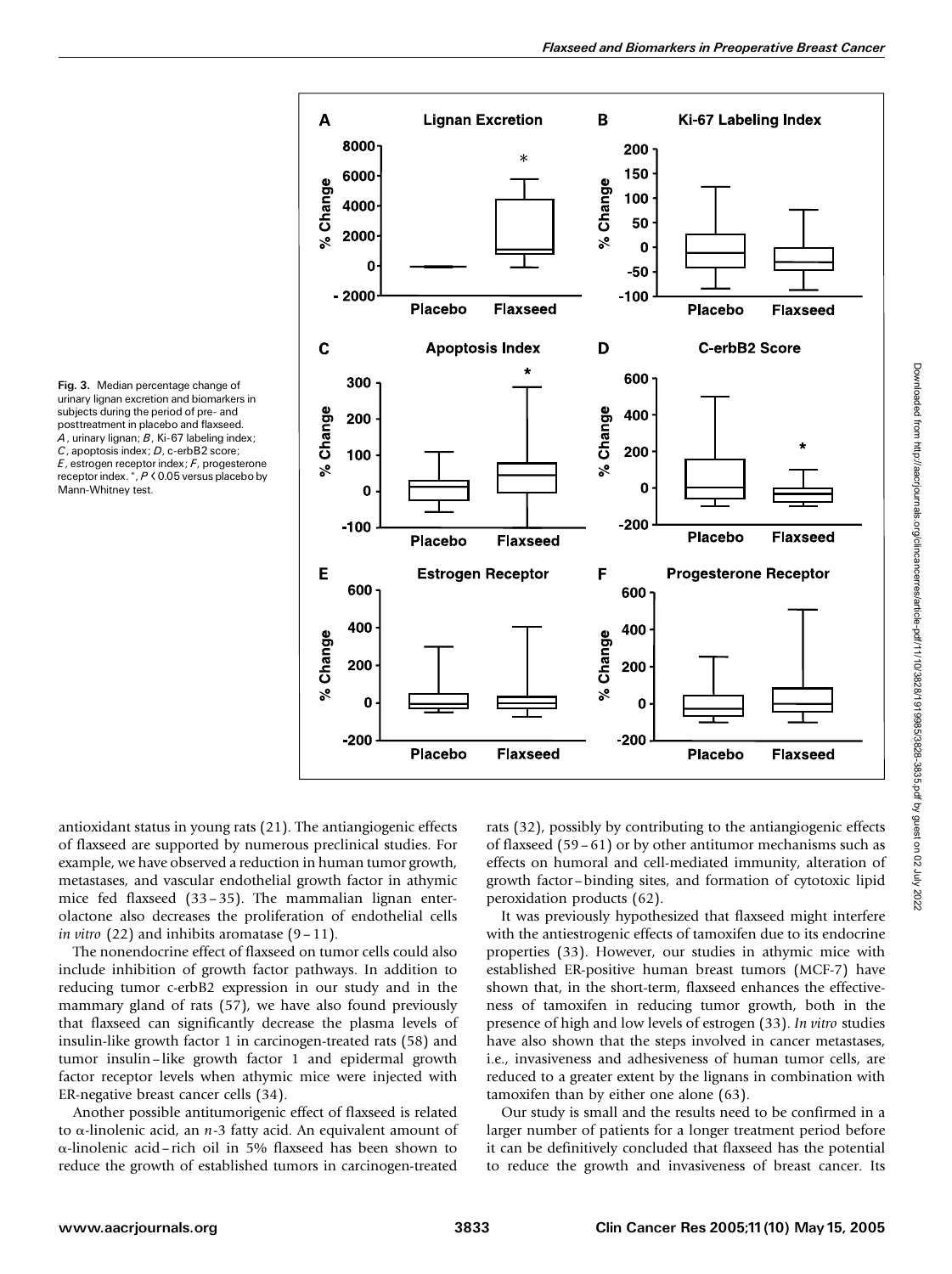

Fig.3. Median percentage change of urinary lignan excretion and biomarkers in subjects during the period of pre- and posttreatment in placebo and flaxseed.  $A$ , urinary lignan;  $B$ , Ki-67 labeling index; C, apoptosis index; D, c-erbB2 score;  $E$ , estrogen receptor index;  $F$ , progesterone receptor index. \*, P < 0.05 versus placebo by Mann-Whitney test.

antioxidant status in young rats (21). The antiangiogenic effects of flaxseed are supported by numerous preclinical studies. For example, we have observed a reduction in human tumor growth, metastases, and vascular endothelial growth factor in athymic mice fed flaxseed (33–35). The mammalian lignan enterolactone also decreases the proliferation of endothelial cells *in vitro*  $(22)$  and inhibits aromatase  $(9-11)$ .

The nonendocrine effect of flaxseed on tumor cells could also include inhibition of growth factor pathways. In addition to reducing tumor c-erbB2 expression in our study and in the mammary gland of rats (57), we have also found previously that flaxseed can significantly decrease the plasma levels of insulin-like growth factor 1 in carcinogen-treated rats (58) and tumor insulin–like growth factor 1 and epidermal growth factor receptor levels when athymic mice were injected with ER-negative breast cancer cells (34).

Another possible antitumorigenic effect of flaxseed is related to  $\alpha$ -linolenic acid, an  $n-3$  fatty acid. An equivalent amount of a-linolenic acid–rich oil in 5% flaxseed has been shown to reduce the growth of established tumors in carcinogen-treated rats (32), possibly by contributing to the antiangiogenic effects of flaxseed (59–61) or by other antitumor mechanisms such as effects on humoral and cell-mediated immunity, alteration of growth factor–binding sites, and formation of cytotoxic lipid peroxidation products (62).

It was previously hypothesized that flaxseed might interfere with the antiestrogenic effects of tamoxifen due to its endocrine properties (33). However, our studies in athymic mice with established ER-positive human breast tumors (MCF-7) have shown that, in the short-term, flaxseed enhances the effectiveness of tamoxifen in reducing tumor growth, both in the presence of high and low levels of estrogen (33). In vitro studies have also shown that the steps involved in cancer metastases, i.e., invasiveness and adhesiveness of human tumor cells, are reduced to a greater extent by the lignans in combination with tamoxifen than by either one alone (63).

Our study is small and the results need to be confirmed in a larger number of patients for a longer treatment period before it can be definitively concluded that flaxseed has the potential to reduce the growth and invasiveness of breast cancer. Its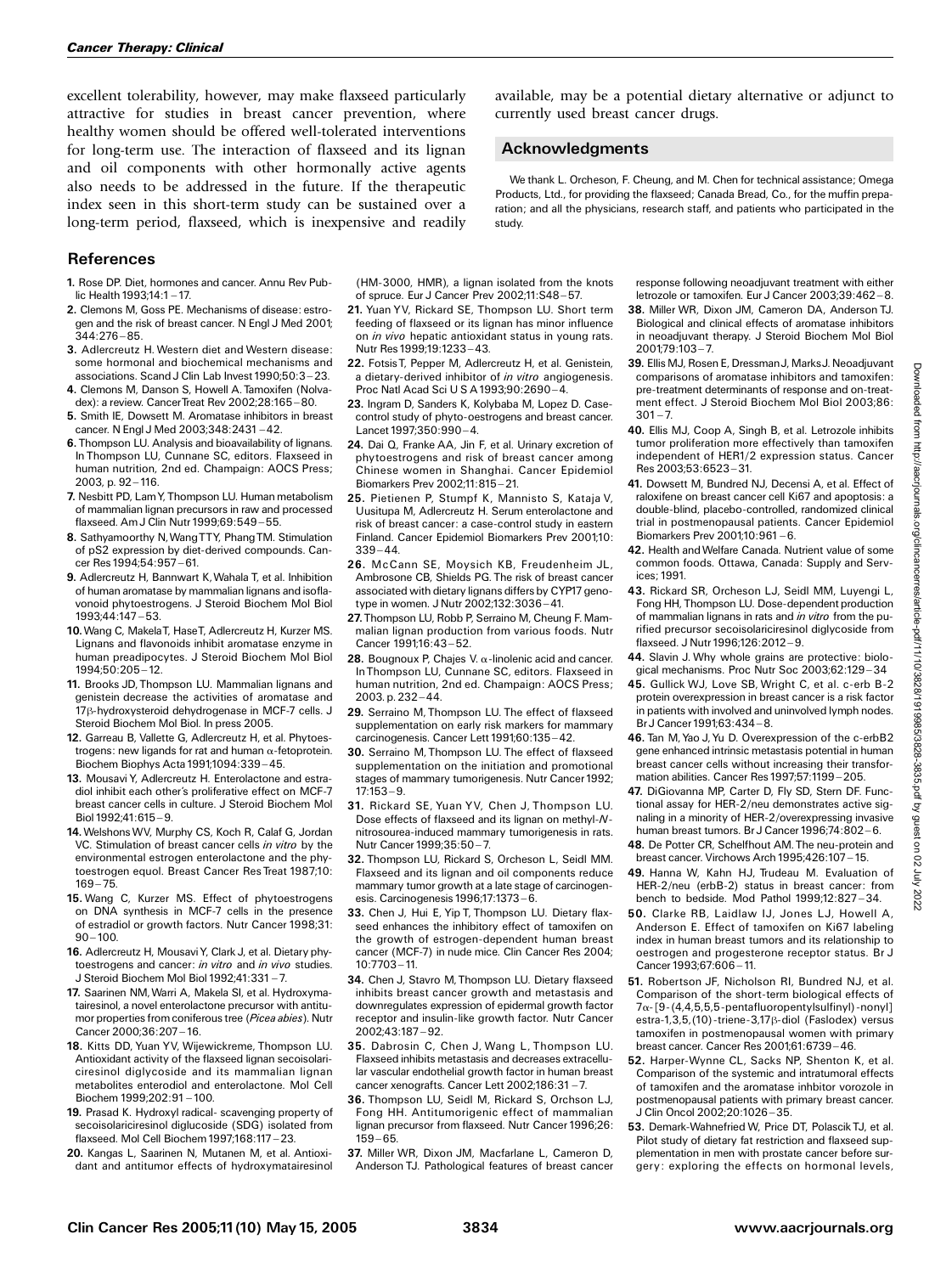excellent tolerability, however, may make flaxseed particularly attractive for studies in breast cancer prevention, where healthy women should be offered well-tolerated interventions for long-term use. The interaction of flaxseed and its lignan and oil components with other hormonally active agents also needs to be addressed in the future. If the therapeutic index seen in this short-term study can be sustained over a long-term period, flaxseed, which is inexpensive and readily

## References

- 1. Rose DP. Diet, hormones and cancer. Annu Rev Public Health  $1993:14:1 - 17$ .
- 2. Clemons M, Goss PE. Mechanisms of disease: estrogen and the risk of breast cancer. N Engl J Med 2001; 344:276-85.
- 3. Adlercreutz H. Western diet and Western disease: some hormonal and biochemical mechanisms and associations. Scand J Clin Lab Invest 1990;50:3 ^ 23.
- 4. Clemons M, Danson S, Howell A. Tamoxifen (Nolvadex): a review. CancerTreat Rev 2002;28:165-80.
- 5. Smith IE, Dowsett M. Aromatase inhibitors in breast cancer. N Engl J Med 2003;348:2431-42.
- 6.Thompson LU. Analysis and bioavailability of lignans. In Thompson LU, Cunnane SC, editors. Flaxseed in human nutrition, 2nd ed. Champaign: AOCS Press; 2003, p. 92-116.
- 7. Nesbitt PD, LamY, Thompson LU. Human metabolism of mammalian lignan precursors in raw and processed flaxseed. Am J Clin Nutr 1999;69:549-55.
- 8. Sathyamoorthy N, Wang TTY, Phang TM. Stimulation of pS2 expression by diet-derived compounds. Cancer Res 1994;54:957-61.
- 9. Adlercreutz H, Bannwart K,Wahala T, et al. Inhibition of human aromatase by mammalian lignans and isoflavonoid phytoestrogens. J Steroid Biochem Mol Biol 1993:44:147 - 53.
- 10.Wang C, MakelaT, HaseT, Adlercreutz H, Kurzer MS. Lignans and flavonoids inhibit aromatase enzyme in human preadipocytes. J Steroid Biochem Mol Biol 1994;50:205 ^ 12.
- 11. Brooks JD, Thompson LU. Mammalian lignans and genistein decrease the activities of aromatase and 17ß-hydroxysteroid dehydrogenase in MCF-7 cells. J Steroid Biochem Mol Biol. In press 2005.
- 12. Garreau B, Vallette G, Adlercreutz H, et al. Phytoestrogens: new ligands for rat and human  $\alpha$ -fetoprotein. Biochem Biophys Acta 1991;1094:339-45.
- 13. Mousavi Y, Adlercreutz H. Enterolactone and estradiol inhibit each other's proliferative effect on MCF-7 breast cancer cells in culture. J Steroid Biochem Mol  $B$ iol 1992;41:615 - 9.
- 14.WelshonsWV, Murphy CS, Koch R, Calaf G, Jordan VC. Stimulation of breast cancer cells in vitro by the environmental estrogen enterolactone and the phytoestrogen equol. Breast Cancer Res Treat 1987;10:  $169 - 75.$
- 15. Wang C, Kurzer MS. Effect of phytoestrogens on DNA synthesis in MCF-7 cells in the presence of estradiol or growth factors. Nutr Cancer 1998;31:  $90 - 100.$
- 16. Adlercreutz H, MousaviY, Clark J, et al. Dietary phytoestrogens and cancer: in vitro and in vivo studies. J Steroid Biochem Mol Biol 1992;41:331 ^ 7.
- 17. Saarinen NM,Warri A, Makela SI, et al. Hydroxymatairesinol, a novel enterolactone precursor with antitumor properties from coniferous tree (Picea abies). Nutr Cancer 2000;36:207-16.
- 18. Kitts DD, Yuan YV, Wijewickreme, Thompson LU. Antioxidant activity of the flaxseed lignan secoisolariciresinol diglycoside and its mammalian lignan metabolites enterodiol and enterolactone. Mol Cell Biochem 1999:202:91-100.
- 19. Prasad K. Hydroxyl radical- scavenging property of secoisolariciresinol diglucoside (SDG) isolated from flaxseed. Mol Cell Biochem 1997;168:117 ^ 23.
- 20. Kangas L, Saarinen N, Mutanen M, et al. Antioxidant and antitumor effects of hydroxymatairesinol

(HM-3000, HMR), a lignan isolated from the knots of spruce. Eur J Cancer Prev 2002;11:S48 ^ 57.

- 21. Yuan YV, Rickard SE, Thompson LU. Short term feeding of flaxseed or its lignan has minor influence on in vivo hepatic antioxidant status in young rats. Nutr Res 1999;19:1233 ^ 43.
- 22. Fotsis T, Pepper M, Adlercreutz H, et al. Genistein, a dietary-derived inhibitor of in vitro angiogenesis. Proc Natl Acad Sci U S A 1993;90:2690-4.
- 23. Ingram D, Sanders K, Kolybaba M, Lopez D. Casecontrol study of phyto-oestrogens and breast cancer. Lancet  $1997:350:990 - 4$ .
- 24. Dai Q, Franke AA, Jin F, et al. Urinary excretion of phytoestrogens and risk of breast cancer among Chinese women in Shanghai. Cancer Epidemiol Biomarkers Prev 2002;11:815 ^ 21.
- 25. Pietienen P, Stumpf K, Mannisto S, Kataja V, Uusitupa M, Adlercreutz H. Serum enterolactone and risk of breast cancer: a case-control study in eastern Finland. Cancer Epidemiol Biomarkers Prev 2001;10:  $339 - 44.$
- 26. McCann SE, Moysich KB, Freudenheim JL, Ambrosone CB, Shields PG. The risk of breast cancer associated with dietary lignans differs by CYP17 genotype in women. J Nutr 2002:132:3036 - 41.
- 27. Thompson LU, Robb P, Serraino M, Cheung F. Mammalian lignan production from various foods. Nutr Cancer 1991:16:43-52.
- **28.** Bougnoux P, Chajes V.  $\alpha$ -linolenic acid and cancer. InThompson LU, Cunnane SC, editors. Flaxseed in human nutrition, 2nd ed. Champaign: AOCS Press;  $2003$ . p.  $232 - 44$ .
- 29. Serraino M, Thompson LU. The effect of flaxseed supplementation on early risk markers for mammary carcinogenesis. Cancer Lett 1991;60:135-42.
- 30. Serraino M, Thompson LU. The effect of flaxseed supplementation on the initiation and promotional stages of mammary tumorigenesis. Nutr Cancer 1992;  $17.153 - 9.$
- 31. Rickard SE, Yuan YV, Chen J, Thompson LU. Dose effects of flaxseed and its lignan on methyl-Nnitrosourea-induced mammary tumorigenesis in rats. Nutr Cancer 1999;35:50 - 7.
- 32. Thompson LU, Rickard S, Orcheson L, Seidl MM. Flaxseed and its lignan and oil components reduce mammary tumor growth at a late stage of carcinogenesis. Carcinogenesis 1996;17:1373-6.
- 33. Chen J, Hui E, Yip T, Thompson LU. Dietary flaxseed enhances the inhibitory effect of tamoxifen on the growth of estrogen-dependent human breast cancer (MCF-7) in nude mice. Clin Cancer Res 2004;  $10:7703 - 11.$
- 34. Chen J, Stavro M, Thompson LU. Dietary flaxseed inhibits breast cancer growth and metastasis and downregulates expression of epidermal growth factor receptor and insulin-like growth factor. Nutr Cancer 2002;43:187 ^ 92.
- 35. Dabrosin C, Chen J, Wang L, Thompson LU. Flaxseed inhibits metastasis and decreases extracellular vascular endothelial growth factor in human breast cancer xenografts. Cancer Lett 2002;186:31-7.
- 36. Thompson LU, Seidl M, Rickard S, Orchson LJ, Fong HH. Antitumorigenic effect of mammalian lignan precursor from flaxseed. Nutr Cancer 1996;26:  $159 - 65.$
- 37. Miller WR, Dixon JM, Macfarlane L, Cameron D, Anderson TJ. Pathological features of breast cancer

available, may be a potential dietary alternative or adjunct to currently used breast cancer drugs.

#### Acknowledgments

We thank L. Orcheson, F. Cheung, and M. Chen for technical assistance; Omega Products, Ltd., for providing the flaxseed; Canada Bread, Co., for the muffin preparation; and all the physicians, research staff, and patients who participated in the study.

> response following neoadjuvant treatment with either letrozole or tamoxifen. Eur J Cancer 2003;39:462-8.

- 38. Miller WR, Dixon JM, Cameron DA, Anderson TJ. Biological and clinical effects of aromatase inhibitors in neoadjuvant therapy. J Steroid Biochem Mol Biol  $2001:79:103 - 7.$
- 39. Ellis MJ, Rosen E, Dressman J, Marks J. Neoadjuvant comparisons of aromatase inhibitors and tamoxifen: pre-treatment determinants of response and on-treatment effect. J Steroid Biochem Mol Biol 2003;86:  $301 - 7.$
- 40. Ellis MJ, Coop A, Singh B, et al. Letrozole inhibits tumor proliferation more effectively than tamoxifen independent of HER1/2 expression status. Cancer Res 2003;53:6523 ^ 31.
- 41. Dowsett M, Bundred NJ, Decensi A, et al. Effect of raloxifene on breast cancer cell Ki67 and apoptosis: a double-blind, placebo-controlled, randomized clinical trial in postmenopausal patients. Cancer Epidemiol Biomarkers Prev 2001;10:961-6.
- 42. Health andWelfare Canada. Nutrient value of some common foods. Ottawa, Canada: Supply and Services; 1991.
- 43. Rickard SR, Orcheson LJ, Seidl MM, Luyengi L, Fong HH, Thompson LU. Dose-dependent production of mammalian lignans in rats and in vitro from the purified precursor secoisolariciresinol diglycoside from flaxseed. J Nutr 1996;126:2012-9.
- 44. Slavin J. Why whole grains are protective: biological mechanisms. Proc Nutr Soc 2003;62:129-34
- 45. Gullick WJ, Love SB, Wright C, et al. c-erb B-2 protein overexpression in breast cancer is a risk factor in patients with involved and uninvolved lymph nodes.  $Br. J$  Cancer 1991;63:434 - 8.
- 46. Tan M, Yao J, Yu D. Overexpression of the c-erbB2 gene enhanced intrinsic metastasis potential in human breast cancer cells without increasing their transformation abilities. Cancer Res 1997;57:1199-205.
- 47. DiGiovanna MP, Carter D, Fly SD, Stern DF. Functional assay for HER-2/neu demonstrates active signaling in a minority of HER-2/overexpressing invasive human breast tumors. Br J Cancer 1996;74:802-6.

48. De Potter CR, Schelfhout AM. The neu-protein and breast cancer. Virchows Arch 1995;426:107-15.

- 49. Hanna W, Kahn HJ, Trudeau M. Evaluation of HER-2/neu (erbB-2) status in breast cancer: from bench to bedside. Mod Pathol 1999;12:827-34.
- 50. Clarke RB, Laidlaw IJ, Jones LJ, Howell A, Anderson E. Effect of tamoxifen on Ki67 labeling index in human breast tumors and its relationship to oestrogen and progesterone receptor status. Br J Cancer 1993;67:606 - 11.
- 51. Robertson JF, Nicholson RI, Bundred NJ, et al. Comparison of the short-term biological effects of  $7\alpha$ -[9-(4,4,5,5,5-pentafluoropentylsulfinyl)-nonyl] estra-1,3,5,(10)-triene-3,17<sub>ß</sub>-diol (Faslodex) versus tamoxifen in postmenopausal women with primary breast cancer. Cancer Res 2001;61:6739 ^ 46.
- 52. Harper-Wynne CL, Sacks NP, Shenton K, et al. Comparison of the systemic and intratumoral effects of tamoxifen and the aromatase inhbitor vorozole in postmenopausal patients with primary breast cancer. J Clin Oncol 2002;20:1026 ^ 35.
- 53. Demark-Wahnefried W, Price DT, Polascik TJ, et al. Pilot study of dietary fat restriction and flaxseed supplementation in men with prostate cancer before surgery: exploring the effects on hormonal levels,